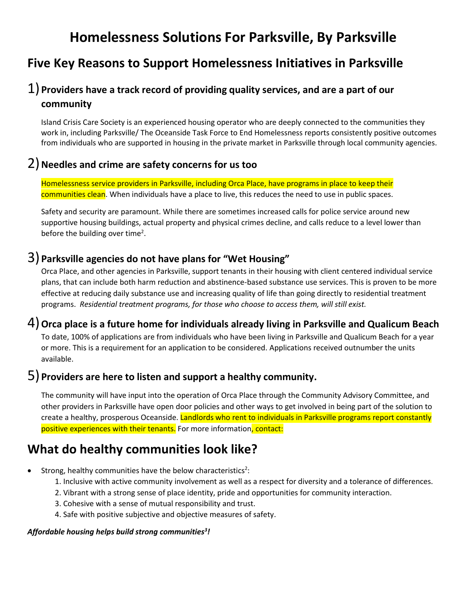# **Homelessness Solutions For Parksville, By Parksville**

## **Five Key Reasons to Support Homelessness Initiatives in Parksville**

## 1)**Providers have a track record of providing quality services, and are a part of our community**

Island Crisis Care Society is an experienced housing operator who are deeply connected to the communities they work in, including Parksville/ The Oceanside Task Force to End Homelessness reports consistently positive outcomes from individuals who are supported in housing in the private market in Parksville through local community agencies.

#### 2)**Needles and crime are safety concerns for us too**

Homelessness service providers in Parksville, including Orca Place, have programs in place to keep their communities clean. When individuals have a place to live, this reduces the need to use in public spaces.

Safety and security are paramount. While there are sometimes increased calls for police service around new supportive housing buildings, actual property and physical crimes decline, and calls reduce to a level lower than before the building over time<sup>2</sup>.

#### 3)**Parksville agencies do not have plans for "Wet Housing"**

Orca Place, and other agencies in Parksville, support tenants in their housing with client centered individual service plans, that can include both harm reduction and abstinence-based substance use services. This is proven to be more effective at reducing daily substance use and increasing quality of life than going directly to residential treatment programs. *Residential treatment programs, for those who choose to access them, will still exist.* 

### 4)**Orca place is a future home for individuals already living in Parksville and Qualicum Beach**

To date, 100% of applications are from individuals who have been living in Parksville and Qualicum Beach for a year or more. This is a requirement for an application to be considered. Applications received outnumber the units available.

### 5)**Providers are here to listen and support a healthy community.**

The community will have input into the operation of Orca Place through the Community Advisory Committee, and other providers in Parksville have open door policies and other ways to get involved in being part of the solution to create a healthy, prosperous Oceanside. Landlords who rent to individuals in Parksville programs report constantly positive experiences with their tenants. For more information, contact:

## **What do healthy communities look like?**

- Strong, healthy communities have the below characteristics<sup>2</sup>:
	- 1. Inclusive with active community involvement as well as a respect for diversity and a tolerance of differences.
	- 2. Vibrant with a strong sense of place identity, pride and opportunities for community interaction.
	- 3. Cohesive with a sense of mutual responsibility and trust.
	- 4. Safe with positive subjective and objective measures of safety.

#### *Affordable housing helps build strong communities<sup>3</sup> !*